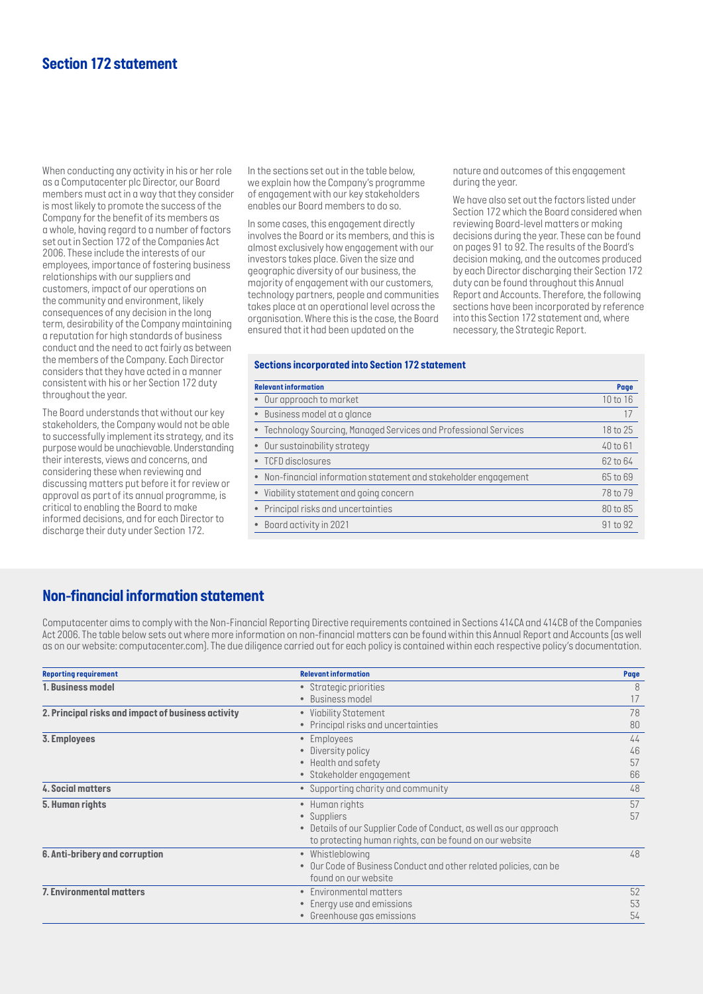# *Section 172 statement*

*When conducting any activity in his or her role as a Computacenter plc Director, our Board members must act in a way that they consider is most likely to promote the success of the Company for the benefit of its members as a whole, having regard to a number of factors set out in Section 172 of the Companies Act 2006. These include the interests of our employees, importance of fostering business relationships with our suppliers and customers, impact of our operations on the community and environment, likely consequences of any decision in the long term, desirability of the Company maintaining a reputation for high standards of business conduct and the need to act fairly as between the members of the Company. Each Director considers that they have acted in a manner consistent with his or her Section 172 duty throughout the year.* 

*The Board understands that without our key stakeholders, the Company would not be able to successfully implement its strategy, and its purpose would be unachievable. Understanding their interests, views and concerns, and considering these when reviewing and discussing matters put before it for review or approval as part of its annual programme, is critical to enabling the Board to make informed decisions, and for each Director to discharge their duty under Section 172.* 

*In the sections set out in the table below, we explain how the Company's programme of engagement with our key stakeholders enables our Board members to do so.* 

*In some cases, this engagement directly involves the Board or its members, and this is almost exclusively how engagement with our investors takes place. Given the size and geographic diversity of our business, the majority of engagement with our customers, technology partners, people and communities takes place at an operational level across the organisation. Where this is the case, the Board ensured that it had been updated on the* 

*nature and outcomes of this engagement during the year.*

*We have also set out the factors listed under Section 172 which the Board considered when reviewing Board-level matters or making decisions during the year. These can be found on pages 91 to 92. The results of the Board's decision making, and the outcomes produced by each Director discharging their Section 172 duty can be found throughout this Annual Report and Accounts. Therefore, the following sections have been incorporated by reference into this Section 172 statement and, where necessary, the Strategic Report.*

#### *Sections incorporated into Section 172 statement*

| <b>Relevant information</b>                                       | Page     |
|-------------------------------------------------------------------|----------|
| • Our approach to market                                          | 10 to 16 |
| • Business model at a glance                                      | 17       |
| • Technology Sourcing, Managed Services and Professional Services | 18 to 25 |
| • Our sustainability strategy                                     | 40 to 61 |
| • TCFD disclosures                                                | 62 to 64 |
| • Non-financial information statement and stakeholder engagement  | 65 to 69 |
| • Viability statement and going concern                           | 78 to 79 |
| • Principal risks and uncertainties                               | 80 to 85 |
| • Board activity in 2021                                          | 91 to 92 |
|                                                                   |          |

## *Non-financial information statement*

*Computacenter aims to comply with the Non-Financial Reporting Directive requirements contained in Sections 414CA and 414CB of the Companies Act 2006. The table below sets out where more information on non-financial matters can be found within this Annual Report and Accounts (as well as on our website: computacenter.com). The due diligence carried out for each policy is contained within each respective policy's documentation.*

| <b>Reporting requirement</b>                       | <b>Relevant information</b>                                       | Page |
|----------------------------------------------------|-------------------------------------------------------------------|------|
| 1. Business model                                  | • Strategic priorities                                            | 8    |
|                                                    | • Business model                                                  | 17   |
| 2. Principal risks and impact of business activity | • Viability Statement                                             | 78   |
|                                                    | • Principal risks and uncertainties                               | 80   |
| 3. Employees                                       | • Employees                                                       | 44   |
|                                                    | Diversity policy                                                  | 46   |
|                                                    | • Health and safety                                               | 57   |
|                                                    | · Stakeholder engagement                                          | 66   |
| 4. Social matters                                  | • Supporting charity and community                                | 48   |
| 5. Human rights                                    | • Human rights                                                    | 57   |
|                                                    | • Suppliers                                                       | 57   |
|                                                    | Details of our Supplier Code of Conduct, as well as our approach  |      |
|                                                    | to protecting human rights, can be found on our website           |      |
| 6. Anti-bribery and corruption                     | • Whistleblowing                                                  | 48   |
|                                                    | • Our Code of Business Conduct and other related policies, can be |      |
|                                                    | found on our website                                              |      |
| 7. Environmental matters                           | Environmental matters                                             | 52   |
|                                                    | Energy use and emissions                                          | 53   |
|                                                    | • Greenhouse gas emissions                                        | 54   |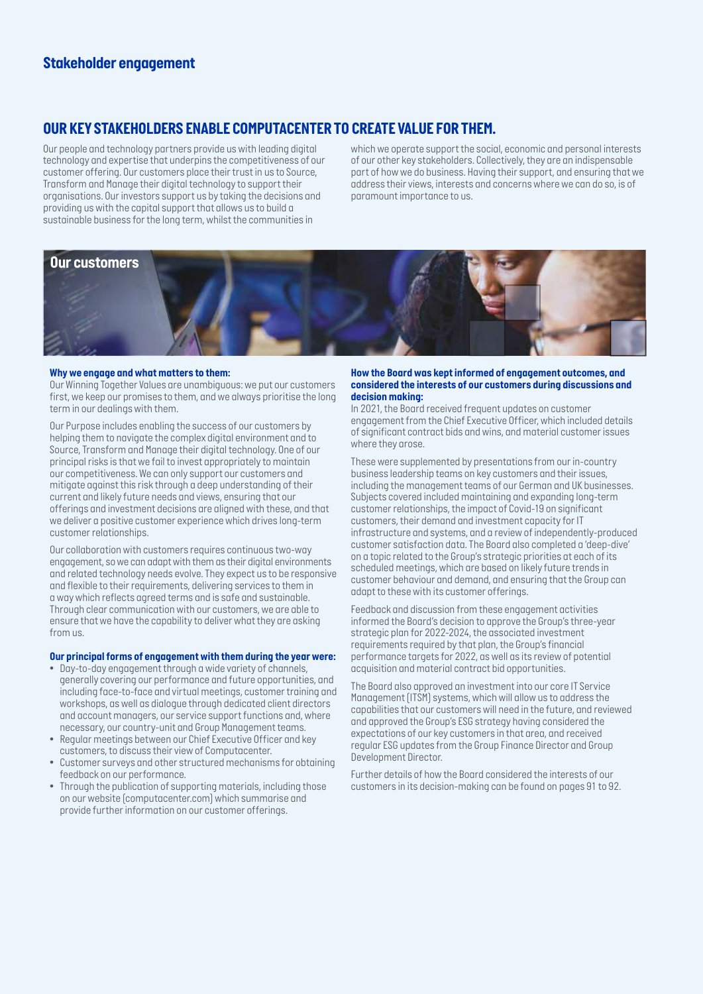# *Stakeholder engagement*

# *OUR KEY STAKEHOLDERS ENABLE COMPUTACENTER TO CREATE VALUE FOR THEM.*

*Our people and technology partners provide us with leading digital technology and expertise that underpins the competitiveness of our customer offering. Our customers place their trust in us to Source, Transform and Manage their digital technology to support their organisations. Our investors support us by taking the decisions and providing us with the capital support that allows us to build a sustainable business for the long term, whilst the communities in* 

*which we operate support the social, economic and personal interests of our other key stakeholders. Collectively, they are an indispensable part of how we do business. Having their support, and ensuring that we address their views, interests and concerns where we can do so, is of paramount importance to us.* 



#### *Why we engage and what matters to them:*

*Our Winning Together Values are unambiguous: we put our customers first, we keep our promises to them, and we always prioritise the long term in our dealings with them.* 

*Our Purpose includes enabling the success of our customers by helping them to navigate the complex digital environment and to Source, Transform and Manage their digital technology. One of our principal risks is that we fail to invest appropriately to maintain our competitiveness. We can only support our customers and mitigate against this risk through a deep understanding of their current and likely future needs and views, ensuring that our offerings and investment decisions are aligned with these, and that we deliver a positive customer experience which drives long-term customer relationships.* 

*Our collaboration with customers requires continuous two-way engagement, so we can adapt with them as their digital environments and related technology needs evolve. They expect us to be responsive and flexible to their requirements, delivering services to them in a way which reflects agreed terms and is safe and sustainable. Through clear communication with our customers, we are able to ensure that we have the capability to deliver what they are asking from us.*

### *Our principal forms of engagement with them during the year were:*

- *• Day-to-day engagement through a wide variety of channels, generally covering our performance and future opportunities, and including face-to-face and virtual meetings, customer training and workshops, as well as dialogue through dedicated client directors and account managers, our service support functions and, where necessary, our country-unit and Group Management teams.*
- *• Regular meetings between our Chief Executive Officer and key customers, to discuss their view of Computacenter.*
- *• Customer surveys and other structured mechanisms for obtaining feedback on our performance.*
- *• Through the publication of supporting materials, including those on our website (computacenter.com) which summarise and provide further information on our customer offerings.*

#### *How the Board was kept informed of engagement outcomes, and considered the interests of our customers during discussions and decision making:*

In 2021, the Board received frequent updates on customer *engagement from the Chief Executive Officer, which included details of significant contract bids and wins, and material customer issues where they arose.* 

*These were supplemented by presentations from our in-country business leadership teams on key customers and their issues, including the management teams of our German and UK businesses. Subjects covered included maintaining and expanding long-term customer relationships, the impact of Covid-19 on significant customers, their demand and investment capacity for IT infrastructure and systems, and a review of independently-produced customer satisfaction data. The Board also completed a 'deep-dive' on a topic related to the Group's strategic priorities at each of its scheduled meetings, which are based on likely future trends in customer behaviour and demand, and ensuring that the Group can adapt to these with its customer offerings.*

*Feedback and discussion from these engagement activities informed the Board's decision to approve the Group's three-year strategic plan for 2022-2024, the associated investment requirements required by that plan, the Group's financial performance targets for 2022, as well as its review of potential acquisition and material contract bid opportunities.* 

*The Board also approved an investment into our core IT Service Management (ITSM) systems, which will allow us to address the capabilities that our customers will need in the future, and reviewed and approved the Group's ESG strategy having considered the expectations of our key customers in that area, and received regular ESG updates from the Group Finance Director and Group Development Director.* 

*Further details of how the Board considered the interests of our customers in its decision-making can be found on pages 91 to 92.*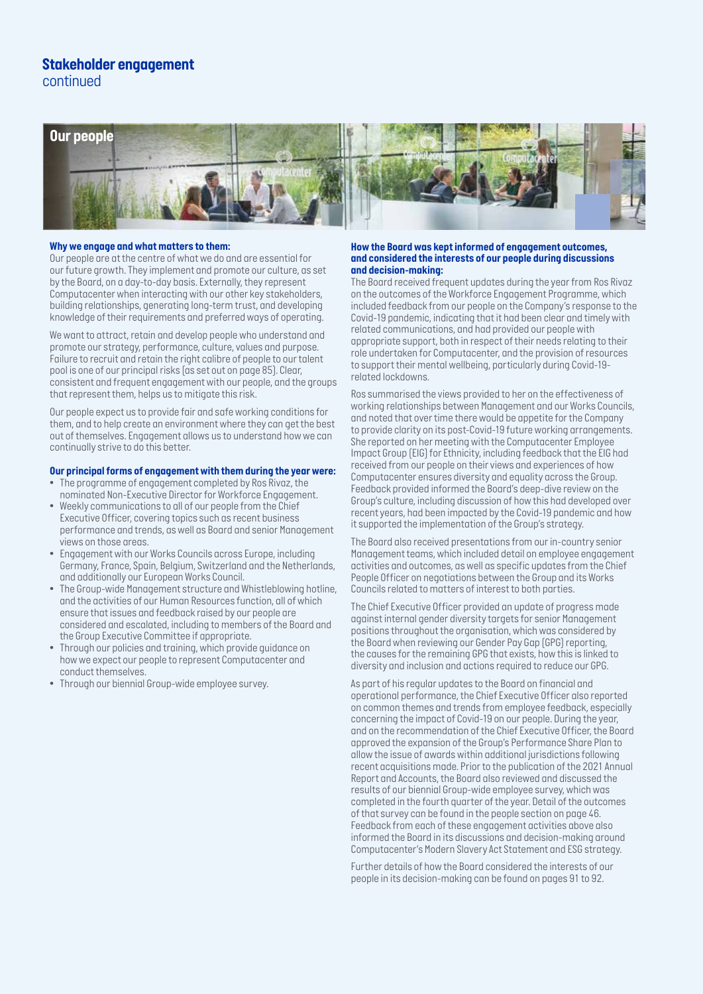### *Stakeholder engagement continued*



### *Why we engage and what matters to them:*

*Our people are at the centre of what we do and are essential for our future growth. They implement and promote our culture, as set by the Board, on a day-to-day basis. Externally, they represent Computacenter when interacting with our other key stakeholders, building relationships, generating long-term trust, and developing knowledge of their requirements and preferred ways of operating.* 

*We want to attract, retain and develop people who understand and promote our strategy, performance, culture, values and purpose. Failure to recruit and retain the right calibre of people to our talent pool is one of our principal risks (as set out on page 85). Clear, consistent and frequent engagement with our people, and the groups that represent them, helps us to mitigate this risk.* 

*Our people expect us to provide fair and safe working conditions for them, and to help create an environment where they can get the best out of themselves. Engagement allows us to understand how we can continually strive to do this better.*

### *Our principal forms of engagement with them during the year were:*

- *• The programme of engagement completed by Ros Rivaz, the nominated Non-Executive Director for Workforce Engagement.*
- *• Weekly communications to all of our people from the Chief Executive Officer, covering topics such as recent business performance and trends, as well as Board and senior Management views on those areas.*
- *• Engagement with our Works Councils across Europe, including Germany, France, Spain, Belgium, Switzerland and the Netherlands, and additionally our European Works Council.*
- *• The Group-wide Management structure and Whistleblowing hotline, and the activities of our Human Resources function, all of which ensure that issues and feedback raised by our people are considered and escalated, including to members of the Board and the Group Executive Committee if appropriate.*
- *• Through our policies and training, which provide guidance on how we expect our people to represent Computacenter and conduct themselves.*
- *• Through our biennial Group-wide employee survey.*

### *How the Board was kept informed of engagement outcomes, and considered the interests of our people during discussions and decision-making:*

*The Board received frequent updates during the year from Ros Rivaz on the outcomes of the Workforce Engagement Programme, which included feedback from our people on the Company's response to the Covid-19 pandemic, indicating that it had been clear and timely with related communications, and had provided our people with appropriate support, both in respect of their needs relating to their role undertaken for Computacenter, and the provision of resources to support their mental wellbeing, particularly during Covid-19 related lockdowns.* 

*Ros summarised the views provided to her on the effectiveness of working relationships between Management and our Works Councils, and noted that over time there would be appetite for the Company to provide clarity on its post-Covid-19 future working arrangements. She reported on her meeting with the Computacenter Employee Impact Group (EIG) for Ethnicity, including feedback that the EIG had received from our people on their views and experiences of how Computacenter ensures diversity and equality across the Group. Feedback provided informed the Board's deep-dive review on the Group's culture, including discussion of how this had developed over recent years, had been impacted by the Covid-19 pandemic and how it supported the implementation of the Group's strategy.* 

*The Board also received presentations from our in-country senior Management teams, which included detail on employee engagement activities and outcomes, as well as specific updates from the Chief People Officer on negotiations between the Group and its Works Councils related to matters of interest to both parties.* 

*The Chief Executive Officer provided an update of progress made against internal gender diversity targets for senior Management positions throughout the organisation, which was considered by the Board when reviewing our Gender Pay Gap (GPG) reporting, the causes for the remaining GPG that exists, how this is linked to diversity and inclusion and actions required to reduce our GPG.* 

*As part of his regular updates to the Board on financial and operational performance, the Chief Executive Officer also reported on common themes and trends from employee feedback, especially concerning the impact of Covid-19 on our people. During the year, and on the recommendation of the Chief Executive Officer, the Board approved the expansion of the Group's Performance Share Plan to allow the issue of awards within additional jurisdictions following recent acquisitions made. Prior to the publication of the 2021 Annual Report and Accounts, the Board also reviewed and discussed the results of our biennial Group-wide employee survey, which was completed in the fourth quarter of the year. Detail of the outcomes of that survey can be found in the people section on page 46. Feedback from each of these engagement activities above also informed the Board in its discussions and decision-making around Computacenter's Modern Slavery Act Statement and ESG strategy.* 

Further details of how the Board considered the interests of our *people in its decision-making can be found on pages 91 to 92.*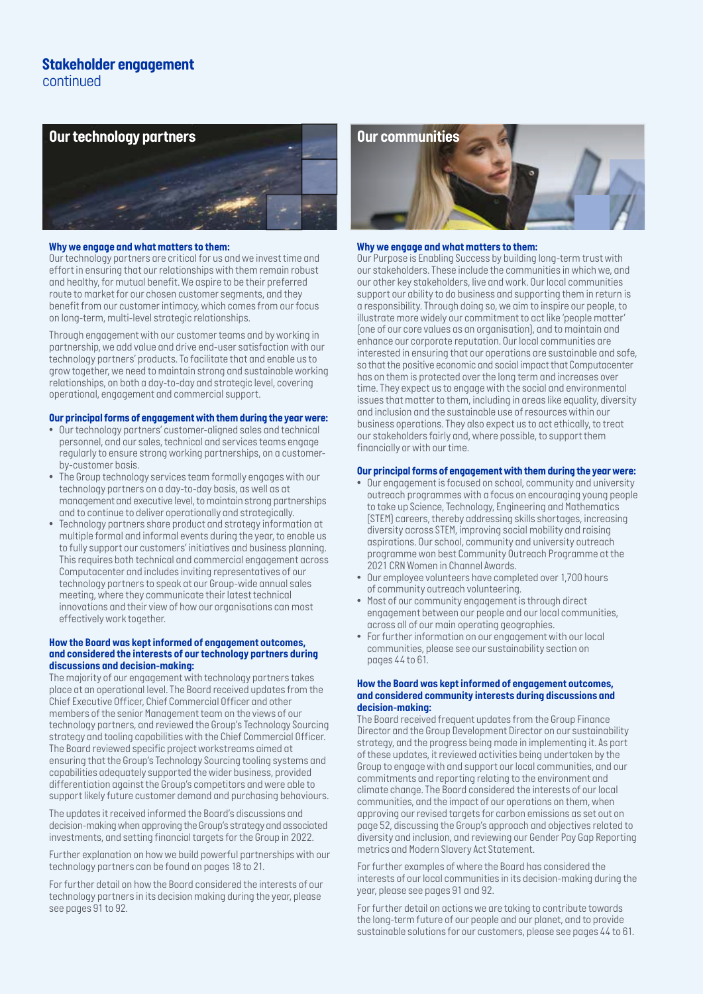## *Stakeholder engagement continued*



### *Why we engage and what matters to them:*

*Our technology partners are critical for us and we invest time and effort in ensuring that our relationships with them remain robust and healthy, for mutual benefit. We aspire to be their preferred route to market for our chosen customer segments, and they benefit from our customer intimacy, which comes from our focus on long-term, multi-level strategic relationships.* 

*Through engagement with our customer teams and by working in partnership, we add value and drive end-user satisfaction with our technology partners' products. To facilitate that and enable us to grow together, we need to maintain strong and sustainable working relationships, on both a day-to-day and strategic level, covering operational, engagement and commercial support.*

### *Our principal forms of engagement with them during the year were:*

- *• Our technology partners' customer-aligned sales and technical personnel, and our sales, technical and services teams engage regularly to ensure strong working partnerships, on a customerby-customer basis.*
- *• The Group technology services team formally engages with our technology partners on a day-to-day basis, as well as at management and executive level, to maintain strong partnerships and to continue to deliver operationally and strategically.*
- *• Technology partners share product and strategy information at multiple formal and informal events during the year, to enable us to fully support our customers' initiatives and business planning. This requires both technical and commercial engagement across Computacenter and includes inviting representatives of our technology partners to speak at our Group-wide annual sales meeting, where they communicate their latest technical innovations and their view of how our organisations can most effectively work together.*

### *How the Board was kept informed of engagement outcomes, and considered the interests of our technology partners during discussions and decision-making:*

*The majority of our engagement with technology partners takes place at an operational level. The Board received updates from the Chief Executive Officer, Chief Commercial Officer and other members of the senior Management team on the views of our technology partners, and reviewed the Group's Technology Sourcing strategy and tooling capabilities with the Chief Commercial Officer. The Board reviewed specific project workstreams aimed at ensuring that the Group's Technology Sourcing tooling systems and capabilities adequately supported the wider business, provided differentiation against the Group's competitors and were able to support likely future customer demand and purchasing behaviours.*

*The updates it received informed the Board's discussions and decision-making when approving the Group's strategy and associated investments, and setting financial targets for the Group in 2022.*

*Further explanation on how we build powerful partnerships with our technology partners can be found on pages 18 to 21.* 

*For further detail on how the Board considered the interests of our technology partners in its decision making during the year, please see pages 91 to 92.* 



### *Why we engage and what matters to them:*

*Our Purpose is Enabling Success by building long-term trust with our stakeholders. These include the communities in which we, and our other key stakeholders, live and work. Our local communities support our ability to do business and supporting them in return is a responsibility. Through doing so, we aim to inspire our people, to illustrate more widely our commitment to act like 'people matter' (one of our core values as an organisation), and to maintain and enhance our corporate reputation. Our local communities are interested in ensuring that our operations are sustainable and safe, so that the positive economic and social impact that Computacenter has on them is protected over the long term and increases over time. They expect us to engage with the social and environmental issues that matter to them, including in areas like equality, diversity and inclusion and the sustainable use of resources within our business operations. They also expect us to act ethically, to treat our stakeholders fairly and, where possible, to support them financially or with our time.* 

### *Our principal forms of engagement with them during the year were:*

- *• Our engagement is focused on school, community and university outreach programmes with a focus on encouraging young people to take up Science, Technology, Engineering and Mathematics (STEM) careers, thereby addressing skills shortages, increasing diversity across STEM, improving social mobility and raising aspirations. Our school, community and university outreach programme won best Community Outreach Programme at the 2021 CRN Women in Channel Awards.*
- *• Our employee volunteers have completed over 1,700 hours of community outreach volunteering.*
- *• Most of our community engagement is through direct engagement between our people and our local communities, across all of our main operating geographies.*
- *• For further information on our engagement with our local communities, please see our sustainability section on pages 44 to 61.*

### *How the Board was kept informed of engagement outcomes, and considered community interests during discussions and decision-making:*

*The Board received frequent updates from the Group Finance Director and the Group Development Director on our sustainability strategy, and the progress being made in implementing it. As part of these updates, it reviewed activities being undertaken by the Group to engage with and support our local communities, and our commitments and reporting relating to the environment and climate change. The Board considered the interests of our local communities, and the impact of our operations on them, when approving our revised targets for carbon emissions as set out on page 52, discussing the Group's approach and objectives related to diversity and inclusion, and reviewing our Gender Pay Gap Reporting metrics and Modern Slavery Act Statement.*

*For further examples of where the Board has considered the interests of our local communities in its decision-making during the year, please see pages 91 and 92.* 

*For further detail on actions we are taking to contribute towards the long-term future of our people and our planet, and to provide sustainable solutions for our customers, please see pages 44 to 61.*